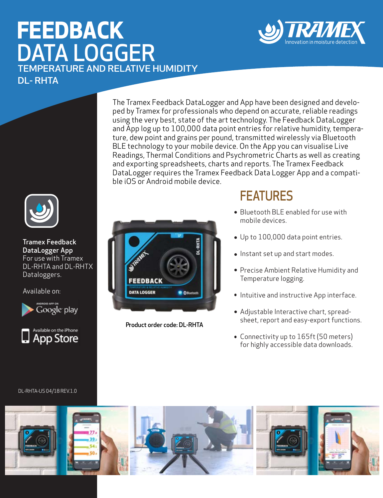# **FEEDBACK**  DATA LOGGER TEMPERATURE AND RELATIVE HUMIDITY DL- RHTA





Tramex Feedback DataLogger App For use with Tramex DL-RHTA and DL-RHTX Dataloggers.

Available on:





DL-RHTA-US 04/18 REV.1.0

The Tramex Feedback DataLogger and App have been designed and developed by Tramex for professionals who depend on accurate, reliable readings using the very best, state of the art technology. The Feedback DataLogger and App log up to 100,000 data point entries for relative humidity, temperature, dew point and grains per pound, transmitted wirelessly via Bluetooth BLE technology to your mobile device. On the App you can visualise Live Readings, Thermal Conditions and Psychrometric Charts as well as creating and exporting spreadsheets, charts and reports. The Tramex Feedback DataLogger requires the Tramex Feedback Data Logger App and a compatible iOS or Android mobile device.



Product order code: DL-RHTA

### **FFATURES**

- Bluetooth BLE enabled for use with mobile devices.
- Up to 100,000 data point entries.
- Instant set up and start modes.
- Precise Ambient Relative Humidity and Temperature logging.
- **Intuitive and instructive App interface.**
- Adjustable Interactive chart, spreadsheet, report and easy-export functions.
- Connectivity up to 165ft (50 meters) for highly accessible data downloads.